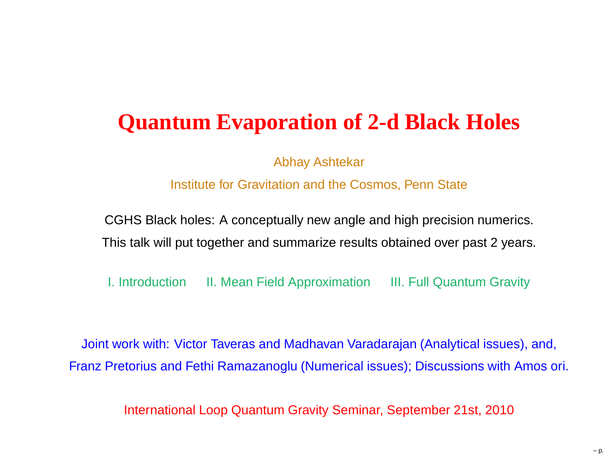## **Quantum Evaporation of 2-d Black Holes**

Abhay Ashtekar

Institute for Gravitation and the Cosmos, Penn State

CGHS Black holes: A conceptually new angle and high precision numerics. This talk will put together and summarize results obtained over past 2 years.

I. Introduction II. Mean Field Approximation III. Full Quantum Gravity

Joint work with: Victor Taveras and Madhavan Varadarajan (Analytical issues), and, Franz Pretorius and Fethi Ramazanoglu (Numerical issues); Discussions with Amos ori.

International Loop Quantum Gravity Seminar, September 21st, 2010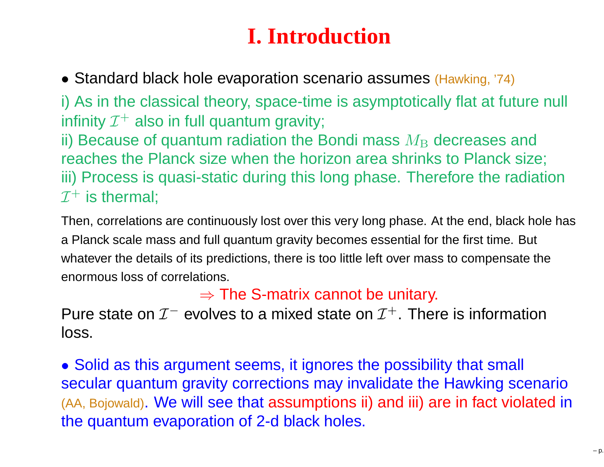# **I. Introduction**

• Standard black hole evaporation scenario assumes (Hawking, '74)

i) As in the classical theory, space-time is asymptotically flat at future null infinity  $\mathcal{I}^+$  also in full quantum gravity; ii) Because of quantum radiation the Bondi mass  $M_{\rm B}$  decreases and  $_{\rm max}$  and  $_{\rm max}$  decreases and reaches the Planck size when the horizon area shrinks to Planck size; iii) Process is quasi-static during this long phase. Therefore the radiation $\mathcal{I}^+$  is thermal;

Then, correlations are continuously lost over this very long phase. At the end, black hole has<sup>a</sup> Planck scale mass and full quantum gravity becomes essential for the first time. But whatever the details of its predictions, there is too little left over mass to compensate the enormous loss of correlations.

 $\Rightarrow$  The S-matrix cannot be unitary.<br>rolves to a mixed state on  $\mathcal{T}^+$  . They

Pure state on  ${\cal I}^-$  evolves to a mixed state on  ${\cal I}^+$ . There is information loss.

• Solid as this argument seems, it ignores the possibility that small secular quantum gravity corrections may invalidate the Hawking scenario (AA, Bojowald). We will see that assumptions ii) and iii) are in fact violated in the quantum evaporation of 2-d black holes.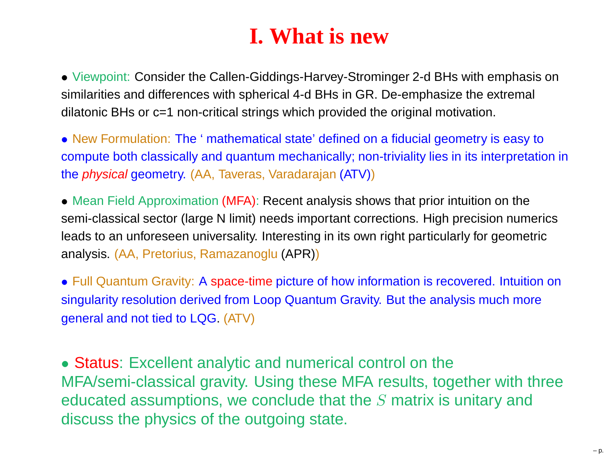## **I. What is new**

• Viewpoint: Consider the Callen-Giddings-Harvey-Strominger 2-d BHs with emphasis onsimilarities and differences with spherical 4-d BHs in GR. De-emphasize the extremal dilatonic BHs or c=1 non-critical strings which provided the original motivation.

• New Formulation: The ' mathematical state' defined on <sup>a</sup> fiducial geometry is easy to compute both classically and quantum mechanically; non-triviality lies in its interpretation in<mark>the *physical* geometry</mark>. (AA, Taveras, Varadarajan (ATV))

• Mean Field Approximation (MFA): Recent analysis shows that prior intuition on the semi-classical sector (large N limit) needs important corrections. High precision numericsleads to an unforeseen universality. Interesting in its own right particularly for geometric analysis. (AA, Pretorius, Ramazanoglu (APR))

• Full Quantum Gravity: <sup>A</sup> space-time picture of how information is recovered. Intuition on singularity resolution derived from Loop Quantum Gravity. But the analysis much moregeneral and not tied to LQG. (ATV)

• Status: Excellent analytic and numerical control on the MFA/semi-classical gravity. Using these MFA results, together with threeeducated assumptions, we conclude that the  $S$  matrix is unitary and discuss the physics of the outgoing state.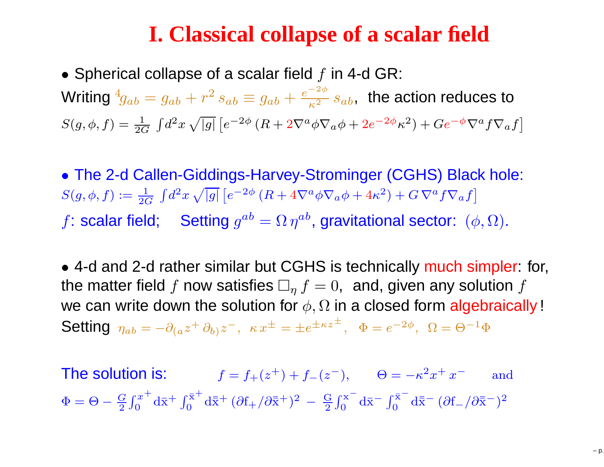### **I. Classical collapse of <sup>a</sup> scalar field**

 $\bullet$  Spherical collapse of a scalar field  $f$  in 4-d GR: Writing  ${}^4\!g_{ab}=g_{ab}+r^2\,s_{ab}\equiv g_{ab}+\frac{\epsilon}{2}$  $^4\!g_{ab}=g_{ab}+r^2$  $S(g, \phi, f) = \frac{1}{2G} \int d^2x \sqrt{|g|} [e^{-2\phi} (R + 2\nabla^a$  $s_{ab}\equiv g_{ab}+\frac{e}{c}$ 2 $\frac{-2\phi}{\kappa^2}\, s_{ab},\,$  the action reduces to  $\frac{1}{2G}\int d^2$  $\sqrt{|g|}\,[e^{-2}$ |<br>|  $^{2\phi}$   $(R+2\nabla^a$  $^{a}\phi\nabla_{a}\phi+2e^{-2}$  $\left( 2\phi_{\cal K}^2 \right) + Ge^{-\phi}\nabla^a$  $^{a}f\nabla_{a}f$ ]

• The 2-d Callen-Giddings-Harvey-Strominger (CGHS) Black hole:  $S(g,\phi,f):=\frac{1}{20}$  $\frac{1}{2G}\,\int\!d^2$  $f$ : scalar field; Setting  $g^{ab} = \Omega \, \eta^{ab},$  gravitational sector:  $(\phi,\Omega).$  $\sqrt{|g|}\,[e^{-2}$ **|**  $^{2\phi}$   $(R+4\nabla^a$  $a\phi\nabla_{a}\phi+4\kappa^{2})+G\,\nabla^{a}$  $^{a}f\nabla_{a}f$  $\big]$ 

• 4-d and 2-d rather similar but CGHS is technically much simpler: for, the matter field  $f$  now satisfies  $\Box_{\eta}\, f = 0, \,$  and, given any solution  $f$ we can write down the solution for  $\phi, \Omega$  in a closed form algebraically !<br>Cattion Setting  $\eta_{ab}=-\partial_{(a}z^+\,\partial_{b)}z^-,$   $\kappa\,x^\pm=\pm e^{\pm\kappa z}$ ± $^{+}$ ,  $\Phi = e^{-2}$  $^{2\phi},\,\,\Omega=\Theta^{-1}$  $\overline{1} \Phi$ 

The solution is:  $f=f_{+}(z^{+}) + f_{-}(z^{-}), \qquad \Theta = -\kappa^{2}$  $x^2 + x^-$  and  $\Phi=\Theta-\frac{G}{2}$  $\frac{G}{2} \int_0^x$  $\, + \,$  $\int_0^{x^+} d\bar{x}^+ \int_0^{\bar{x}^+}$  $0 \overline{0}^{\rm x^+} \, {\rm d}\bar{\bar{\rm x}}^+ \, (\partial {\rm f}_+/\partial \bar{\bar{\rm x}}^+)^2$  $^2-\frac{G}{2}$  $\frac{d}{2} \int_0^x$ − $\int_0^x \frac{dx}{1 + x^2} dx$  $\mathrm{d}\bar{\mathrm{x}}^{-}\ (\partial \mathrm{f}_{-}/\partial \bar{\mathrm{x}}^{+})^{2}$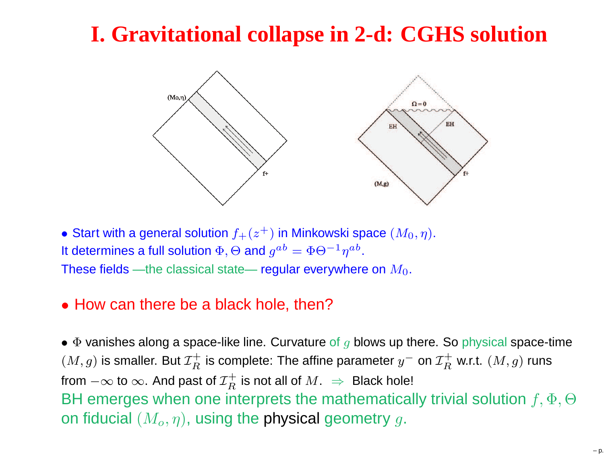## **I. Gravitational collapse in 2-d: CGHS solution**



 $\bullet$  Start with a general solution  $f_+(z^+)$  in Minkowski space  $(M_0, \eta).$ It determines a full solution  $\Phi, \Theta$  and  $g^{ab} = \Phi \Theta^{-1}$ These fields —the classical state— regular everywhere on  $M_0.$  $^{1}\eta^{ab}.$ 

#### • How can there be <sup>a</sup> black hole, then?

 $\bullet$   $\Phi$  vanishes along a space-like line. Curvature of  $g$  blows up there. So physical space-time  $(M,g)$  is smaller. But  ${\cal I}_R^+$ from  $-\infty$  to  $\infty$ . And past of  $\mathcal{I}_R^+$  is not all of  $M$ .  $\Rightarrow$  Black homes  $\, R \,$  $\tau_R^+$  is complete: The affine parameter  $y^-$  on  ${\cal I}_R^+$  $\,$  $R^+$  w.r.t.  $(M, g)$  runs BH emerges when one interprets the mathematically trivial solution  $f, \Phi, \Theta$  $\,$  $\mathcal{I}^+_R$  is not all of  $M.~\Rightarrow~$  Black hole! on fiducial  $(M_o,\eta),$  using the physical geometry  $g.$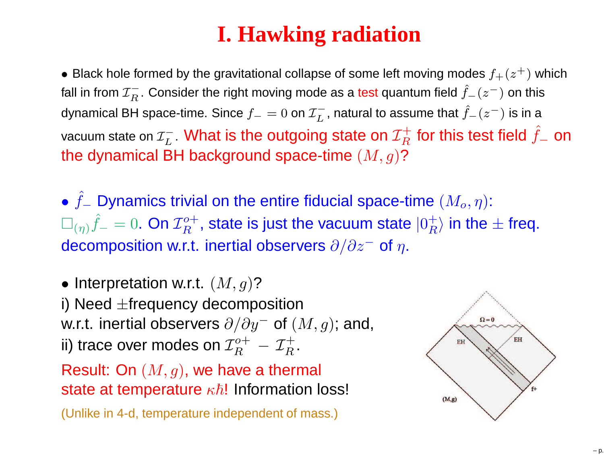# **I. Hawking radiation**

 $\bullet$  Black hole formed by the gravitational collapse of some left moving modes  $f_+(z^+)$  which fall in from  ${\cal I}^{+}_R$ . Consider the right moving mode as a test quantum field  $\hat{f}_-(z^-)$  o dynamical BH space-time. Since  $f_-\,$  $\,$  $\widetilde{R}$ . Consider the right moving mode as a test quantum field  $\widehat{f}_-(z^-)$  on this  $\mathcal{I}_- = 0$  on  $\mathcal{I}_L^-$  L $\widehat{f}_L$ , natural to assume that  $\widehat{f}_-(z^-)$  is in a vacuum state on  ${\mathcal{I}}^-_L$ the dynamical BH background space-time  $(M, g)$ ?  $_L^-$ . What is the outgoing state on  ${\cal I}_R^+$  $\pmb{R}$  $\hat{\bar{f}}^{-}_R$  for this test field  $\hat{f}_ -$  on

• $\square_{(\eta)}\hat{f}_-=0.$  On  ${\cal I}^{o+}_R$ , state is just the vacuum state  $|0^+_R\rangle$  in th  $\hat{f}_ \mathcal{L}_{\mathcal{L}}$  Dynamics trivial on the entire fiducial space-time  $(M_o, \eta)$ :  $\mathcal{I}_-^0=0$ . On  $\mathcal{I}_R^o$ decomposition w.r.t. inertial observers  $\partial/\partial z^-$  of  $\eta.$  $\frac{1}{D}$  $\boldsymbol{R}$  $\mathcal{P}_R^{o+}$ , state is just the vacuum state  $|0_R^+|$  $\mathop{}_{R}^{\text{+}}$  in the  $\pm$  freq.

 $\bullet$  Interpretation w.r.t.  $(M,g)$ ? i) Need  $\pm$ frequency decomposition w.r.t. inertial observers  $\partial/\partial y^{-}$  of  $(M,g)$ ; and, ii) trace over modes on  ${\cal I}^o_B$  $\frac{o+1}{n}$  $\, R$  $T_R^{o+} - \mathcal{I}_R^+$  $R$  . Result: On  $(M, g)$ , we have a thermal state at temperature  $\kappa \hbar!$  Information loss! (Unlike in 4-d, temperature independent of mass.)

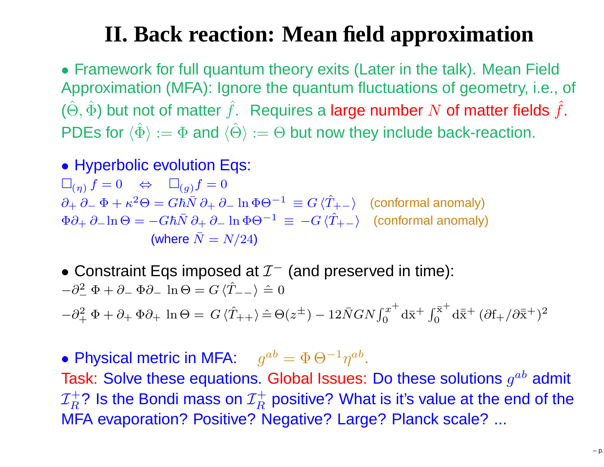# **II. Back reaction: Mean field approximation**

• Framework for full quantum theory exits (Later in the talk). Mean Field Approximation (MFA): Ignore the quantum fluctuations of geometry, i.e., of  $(\hat{\Theta},\hat{\Phi})$  but not of matter  $\hat{f}$ . Requires a large number  $N$  of matter fields  $\hat{f}$ .<br>
en Europe (contract ) is a contract of the state of the state of the state of the state of the state of the state of the stat PDEs for  $\langle\hat{\Phi}\rangle := \Phi$  and  $\langle\hat{\Theta}\rangle := \Theta$  but now they include back-reaction.

• Hyperbolic evolution Eqs:

 $\Box_{(\eta)} f = 0 \Leftrightarrow \Box_{(g)} f = 0$  $\partial_+ \partial_- \, \Phi + \kappa^2 \Theta = G \hbar \bar{N} \, \partial_+ \, \partial_ \Phi \partial_+ \partial_- \ln \Theta = -G\hbar \bar{N} \partial_+ \partial_- \ln \Phi \Theta^{-1} \, \equiv \, -G \, \langle \hat{T}$  $\kappa^2 \Theta = G\hbar \bar{N} \partial_+ \partial_ \ln \Phi \Theta^{-1}$  $\frac{1}{\gamma} \equiv G \braket{\hat{T}}{\gamma}$  $\langle_+ - \rangle$  (conformal anomaly) (where  $\bar{N} = N/24$ )  $\ln \Phi \Theta^{-1} \ \equiv \ -G \, \langle \hat{T} \rangle$  $\langle_+ - \rangle$  (conformal anomaly)

 $\bullet$  Constraint Eqs imposed at  $\mathcal{I}^-$  (and preserved in time):  $-\partial^2 \Phi + \partial_- \Phi \partial_- \ln \Theta = G \langle \hat{T}_{--} \rangle$  − $\frac{2}{\pi}\Phi + \partial_-\Phi\partial_-\$  $\ln \Theta = G \langle \hat{T}_{--} \rangle \triangleq 0$ 

 $-\partial^2$  $\, + \,$  $q^2 + \Phi + \partial_+ \Phi \partial_+ \ln \Theta = G \langle \hat{T}_{++} \rangle \hat{=} \Theta$  $(z^{\pm})-12\bar{N}GN\int_{0}^{x}% v^{2\pm}dv\int_{0}^{z}dv\int_{0}^{z}dv\int_{0}^{z}dv\int_{0}^{z}dv\int_{0}^{z}dv\int_{0}^{z}dv\int_{0}^{z}dv\int_{0}^{z}dv\int_{0}^{z}dv\int_{0}^{z}dv\int_{0}^{z}dv\int_{0}^{z}dv\int_{0}^{z}dv\int_{0}^{z}dv\int_{0}^{z}dv\int_{0}^{z}dv\int_{0}^{z}dv\int_{0}^{z}dv\int_{0}^{z}dv\int_{0}^{z}dv\int_{0}^{z}dv\int$ + $\int_0^{x^+} d\bar{x}^+ \int_0^{\bar{x}^+}$  $0 \overline{\alpha}^{\rm x+}$   ${\rm d}\bar{\bar{\rm x}}^+$   $(\partial {\rm f}_+/\partial \bar{\bar{\rm x}}^+)^2$ 

 $\bullet$  Physical metric in MFA:  $g^{ab} = \Phi \Theta^{-1}$ Task: Solve these equations. Global Issues: Do these solutions  $g^{ab}$  admit  $^1\eta^{ab}.$  $\mathcal{I}^+$ ? Is the Bondi mass on  $\mathcal{I}^+$  positive? What is it's value at the MFA evaporation? Positive? Negative? Large? Planck scale? ...  $\boldsymbol{R}$  $\mathcal{I}_R^+$ ? Is the Bondi mass on  $\mathcal{I}_R^+$ <br>"EA experation? Positive? "  $\boldsymbol{R}$  $T_R^+$  positive? What is it's value at the end of the  $R$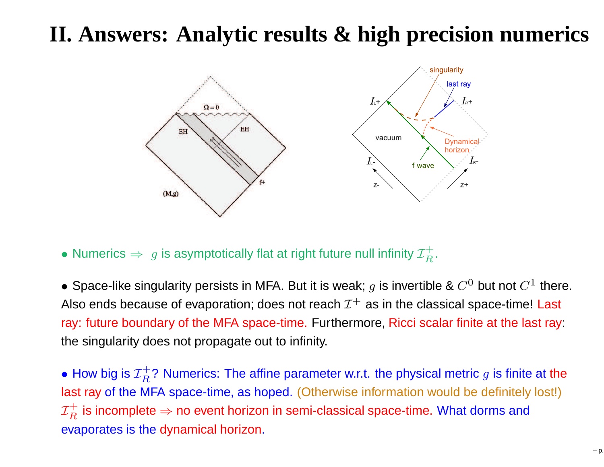## **II. Answers: Analytic results & high precision numerics**



 $\bullet$  Numerics  $\Rightarrow\ g$  is asymptotically flat at right future null infinity  ${\cal I}^+_R$  $R^{\bullet}$ 

 $\bullet$  Space-like singularity persists in MFA. But it is weak;  $g$  is invertible &  $C^0$  but not  $C^1$  there. Also ends because of evaporation; does not reach  $\mathcal{I}^+$  as in the classical space-time! Last ray: future boundary of the MFA space-time. Furthermore, Ricci scalar finite at the last ray: the singularity does not propagate out to infinity.

 $\bullet$  How big is  ${\cal I}_R^+$  $\boldsymbol{R}$  $T^+$ ? Numerics: The affine parameter w.r.t. the physical metric  $g$  is finite at the  $R$ last ray of the MFA space-time, as hoped. (Otherwise information would be definitely lost!)  $\mathcal{I}^+_{\scriptscriptstyle D}$  $\boldsymbol{R}$  $\mathcal{I}^+_R$  is incomplete  $\Rightarrow$  no event horizon in semi-classical space-time. What dorms and evaporates is the dynamical horizon.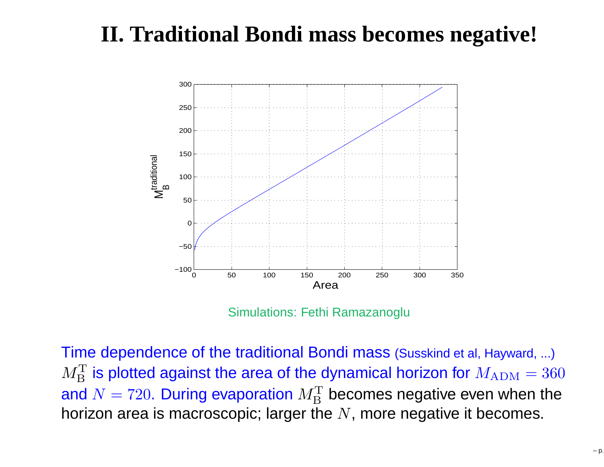# **II. Traditional Bondi mass becomes negative!**



Simulations: Fethi Ramazanoglu

Time dependence of the traditional Bondi mass (Susskind et al, Hayward, ...)  $M_{\mathbf{\overline{D}}}^{\mathbf{T}}$ and  $N=720$ . During evaporation  $M_{\rm B}^{\rm T}$ B $I_B^{\text{T}}$  is plotted against the area of the dynamical horizon for  $M_{\rm ADM}=360$ B $\mathbf{B}_{\rm B}^{\rm T}$  becomes negative even when the horizon area is macroscopic; larger the  $N,$  more negative it becomes.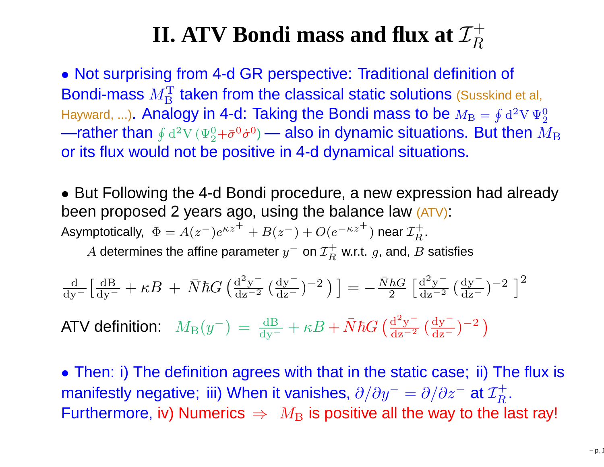#### **II.**  $\mathbf{ATV}$  <code>Bondi</code> mass and flux at  $\mathcal{I}_R^+$  $\,R$

• Not surprising from 4-d GR perspective: Traditional definition of Bondi-mass  $M^\mathrm{T}_\mathrm{\scriptscriptstyle D}$  $\rm{B}$  $T_{\rm B}^{\rm T}$  taken from the classical static solutions (Susskind et al, Hayward, ...). Analogy in 4-d: Taking the Bondi mass to be  $M_{\rm B}=\oint{\rm d}^2\rm V\,\Psi_2^0$ —rather than  $\oint{\rm d}^2{\rm V}\,(\Psi^0_2+\bar\sigma^0\dot\sigma^0)$  — also in dynamic situations. But then  $I$  2 or its flux would not be positive in 4-d dynamical situations.  $^{0}_{2}$ + $\bar{\sigma}^{0}$  ${}^0{\dot \sigma}^0$  $^{0})$  — also in dynamic situations. But then  $M_{\rm BH}$ 

• But Following the 4-d Bondi procedure, <sup>a</sup> new expression had already been proposed 2 years ago, using the balance law (ATV):<br>. Asymptotically,  $\Phi = A(z^-)e^{\kappa z^+}$  $+B(z^-) + O(e^{-\kappa z})$ + $^+)$  near  ${\cal I}_R^+$  $R^{\centerdot}$ 

 $A$  determines the affine parameter  $y^-$  on  ${\cal I}^+_R$  w.r.t.  $g$ , and, .  $\, R \,$  $R^{\mp}$  w.r.t.  $g$ , and,  $B$  satisfies

$$
\frac{d}{dy^{-}} \left[ \frac{dB}{dy^{-}} + \kappa B + \bar{N} \hbar G \left( \frac{d^{2}y^{-}}{dz^{-2}} \left( \frac{dy^{-}}{dz^{-}} \right)^{-2} \right) \right] = -\frac{\bar{N} \hbar G}{2} \left[ \frac{d^{2}y^{-}}{dz^{-2}} \left( \frac{dy^{-}}{dz^{-}} \right)^{-2} \right]^{2}
$$

ATV definition:  $M_{\rm B}(y^{\rm -})\,=\,\frac{\rm dB}{\rm dy^{\rm -}}$  $\frac{B}{\Box}+\kappa B+\bar{N}\hbar G\left(\frac{\rm d}{{\rm d}\vphantom{{}}}\right)$ 2 $\frac{y}{y}$  $\frac{\mathrm{d}^2\mathrm{y}^-}{\mathrm{d}\mathrm{z}^{-2}}\left(\frac{\mathrm{d}\mathrm{y}^-}{\mathrm{d}\mathrm{z}^-}\right)$  $\frac{dy}{dz}$ )− 2 $^{\:\!2\:}$   $\left.\rule{0.3cm}{.0cm}\right)$ 

• Then: i) The definition agrees with that in the static case; ii) The flux is manifestly negative; iii) When it vanishes,  $\partial/\partial y^{-} = \partial/\partial z^{-}$  at  $\mathcal{I}^{+}_{R}$  $\frac{9}{2}$  . The wev to the la  $\boldsymbol{R}$ Furthermore, iv) Numerics  $\Rightarrow\ M_{\rm B}$  is positive all the way to the last ray!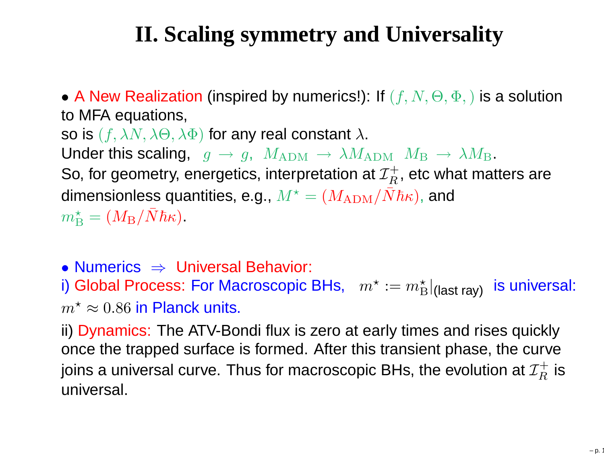# **II. Scaling symmetry and Universality**

 $\bullet$  A New Realization (inspired by numerics!): If  $(f,N,\Theta,\Phi,)$  is a solution to MFA equations, so is  $(f, \lambda N, \lambda \Theta, \lambda \Phi)$  for any real constant  $\lambda.$ Under this scaling,  $\hspace{1.5mm} g \, \rightarrow \, g, \hspace{1.5mm} M_{\rm ADM} \, \rightarrow \, \lambda M_{\rm ADM} \hspace{1.9mm} M_{\rm B} \, \rightarrow \, \lambda M_{\rm B}.$ So for geometry operaction interpretation at  $\tau^+$  , ato what mat So, for geometry, energetics, interpretation at  ${\mathcal I}_R^+$ , et dimensionless quantities, e.g.,  $M^\star = (M_\mathrm{ADM}/3)$  $\, R \,$  $\widetilde{R}^+$ , etc what matters are  $^{\star}=(M_{\rm ADM}/\bar{N}\hbar\kappa)$ , and  $m_\Xi^\star$  $\tilde{\lambda}_{\rm B}^{\star}=(M_{\rm B}/\bar{N}\hbar\kappa).$ 

• Numerics ⇒

 $\bullet$  Numerics  $\;\Rightarrow\;$  Universal Behavior:<br>i) Global Process: For Macroscopic BHs,  $\;\;m^{\star}:=m_{\rm E}^{\star}$  $\mathrm{\check{B}}\vert_{\mathsf{(last\,ray)}}$  is universal:  $m^{\star}\approx0.86$  in Planck units.

 ii) Dynamics: The ATV-Bondi flux is zero at early times and rises quickly once the trapped surface is formed. After this transient phase, the curvejoins a universal curve. Thus for macroscopic BHs, the evolution at  ${\cal I}_R^+$  $\, R$  $R^+$  is universal.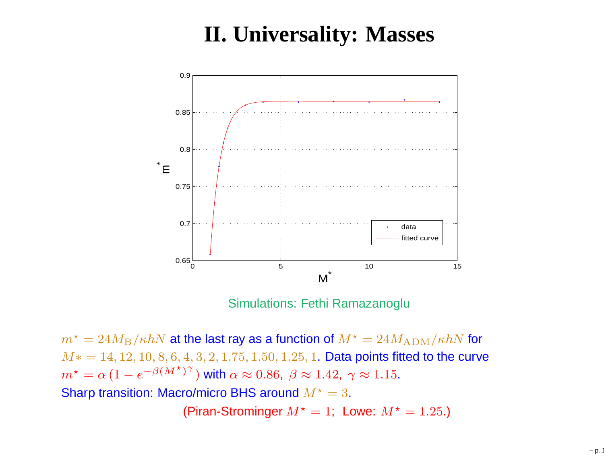## **II. Universality: Masses**



Simulations: Fethi Ramazanoglu

 $m^{\star}=24M_{\rm B}/\kappa\hbar N$  at the last ray as a function of  $M^{\star}=24M_{\rm ADM}/\kappa\hbar N$  for  $M_{\rm th} = 14, 19, 10, 8, 6, 4, 9, 9, 1, 75, 1, 50, 1, 95, 1, \mathbf{D}$  $M* = 14, 12, 10, 8, 6, 4, 3, 2, 1.75, 1.50, 1.25, 1.$  Data points fitted to the curve  $m^{\star}$ Sharp transition: Macro/micro BHS around  $M^{\star}=3.$  $\star = \alpha \left(1 - e^{-\beta (M^{\star})}\right)$  $^{\gamma}$ ) with  $\alpha\approx0.86,\;\beta\approx1.42,\;\gamma\approx1.15.$ (Piran-Strominger  $M^{\star}=1;~$  Lowe:  $M^{\star}=1.25$ .)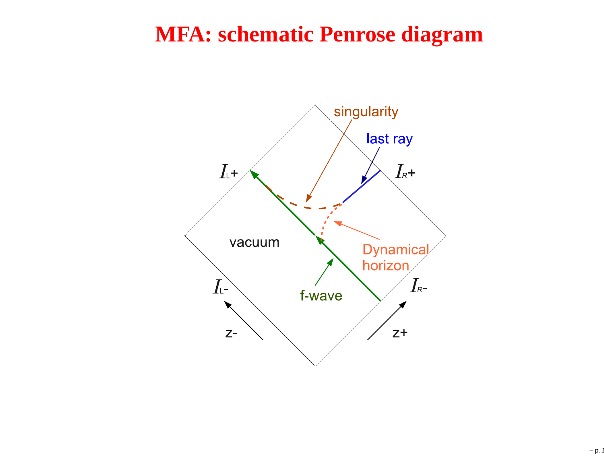#### **MFA: schematic Penrose diagram**

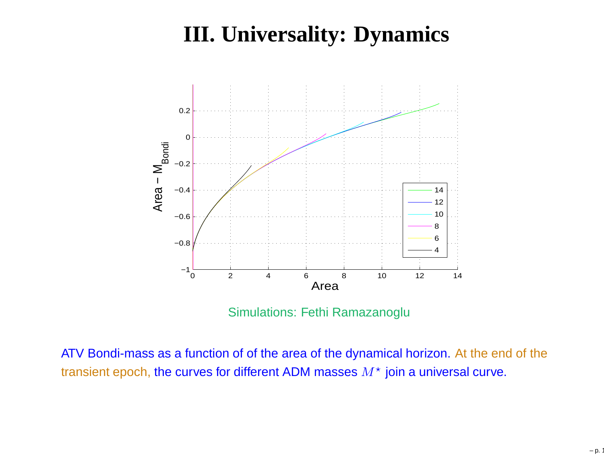# **III. Universality: Dynamics**



Simulations: Fethi Ramazanoglu

ATV Bondi-mass as <sup>a</sup> function of of the area of the dynamical horizon. At the end of thetransient epoch, the curves for different ADM masses  $M^{\star}$  join a universal curve.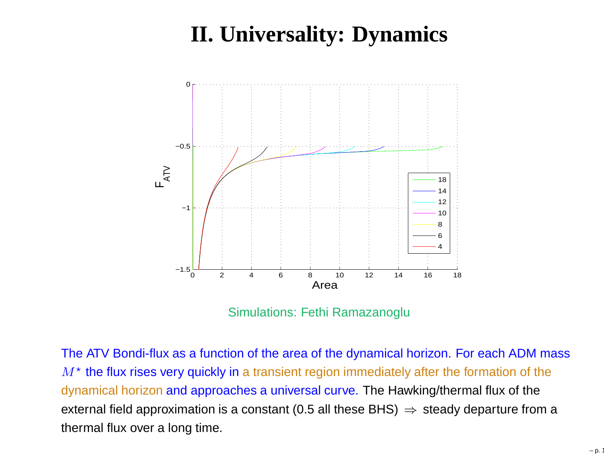# **II. Universality: Dynamics**



Simulations: Fethi Ramazanoglu

The ATV Bondi-flux as <sup>a</sup> function of the area of the dynamical horizon. For each ADM mass $M^{\star}$  the flux rises very quickly in a transient region immediately after the formation of the dynamical horizon and approaches <sup>a</sup> universal curve. The Hawking/thermal flux of theexternal field approximation is a constant (0.5 all these BHS) ⇒ steady departure from a<br>thermal flux aver a lang time thermal flux over <sup>a</sup> long time.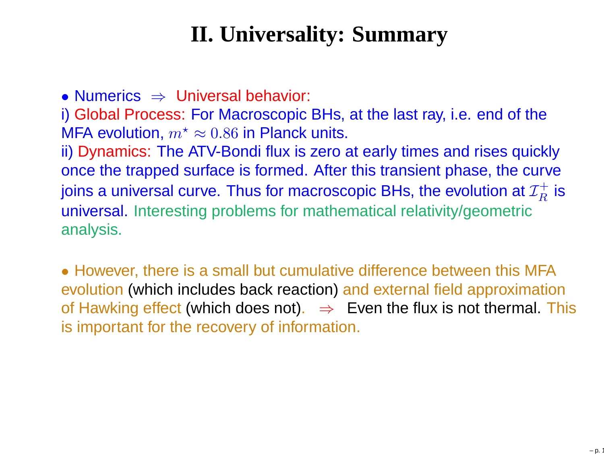# **II. Universality: Summary**

● Numerics ⇒ Universal behavior:<br>i) Global Process: For Macroscopic i) Global Process: For Macroscopic BHs, at the last ray, i.e. end of theMFA evolution,  $m^{\star}$  ii) Dynamics: The ATV-Bondi flux is zero at early times and rises quickly $x^* \approx 0.86$  in Planck units. once the trapped surface is formed. After this transient phase, the curvejoins a universal curve. Thus for macroscopic BHs, the evolution at  ${\cal I}_R^+$  universal. Interesting problems for mathematical relativity/geometric $\boldsymbol{R}$  $R^+$  is analysis.

• However, there is a small but cumulative difference between this MFA evolution (which includes back reaction) and external field approximation of Hawking effect (which does not). ⇒ Even the flux is not thermal. This<br>is important for the recovery of information is important for the recovery of information.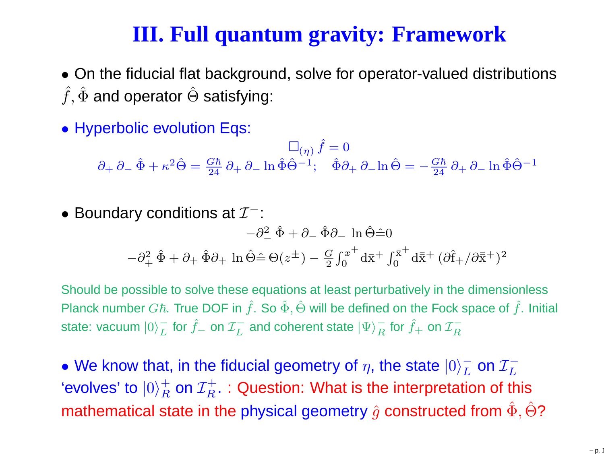## **III. Full quantum gravity: Framework**

- On the fiducial flat background, solve for operator-valued distributions  $\hat{f},\hat{\Phi}$  and operator  $\hat{\Theta}$  satisfying:
- Hyperbolic evolution Eqs:

 $\Box_{(\eta)}\,\hat{f}=0$ ∂+∂− $-\hat{\Phi} +$  $\kappa^2\hat{\Theta} = \frac{G\hbar}{24}$  $\frac{\pi n}{24}\,\partial_+\,\partial_ \ln \hat{\Phi} \hat{\Theta}^{-1}$ <sup>1</sup>;  $\hat{\Phi}\partial_+ \partial_- \ln \hat{\Theta} =$ ; $\_$   $G\hbar$  $\frac{\pi n}{24}\,\partial_+\,\partial_ \ln \hat{\Phi} \hat{\Theta}^{-1}$ 

\n- Boundary conditions at 
$$
\mathcal{I}^{-}
$$
:  $-\partial_{-}^{2} \hat{\Phi} + \partial_{-} \hat{\Phi} \partial_{-} \ln \hat{\Theta} = 0$ \n $-\partial_{+}^{2} \hat{\Phi} + \partial_{+} \hat{\Phi} \partial_{+} \ln \hat{\Theta} = \Theta(z^{\pm}) - \frac{G}{2} \int_{0}^{x^{+}} d\bar{x} + \int_{0}^{\bar{x}^{+}} d\bar{x} + (\partial \hat{f}_{+} / \partial \bar{x}^{+})^{2}$ \n
\n

Should be possible to solve these equations at least perturbatively in the dimensionlessPlanck number  $G\hbar$ . True DOF in  $\hat{f}$ . So  $\hat{\Phi},\hat{\Theta}$  will be defined on the Fock space of  $\hat{f}$ . Initial state: vacuum  $|0\rangle^-_L$  for  $\hat f_-$  on  ${\cal I}^-_L$  and L $\overline{L}$  for  $\hat{f}$ <sub>−</sub> on  $\mathcal{I}^-_L$ L $\overline{L}^-$  and coherent state  $|\Psi\rangle^-_R$  $\, R \,$  $\frac{1}{R}$  for  $\hat{f}_+$  on  $\mathcal{I}_R^ \,$ 

 $\bullet$  We know that, in the fiducial geometry of  $\eta,$  the state  $|0\rangle^-_L$  $\frac{\overline{L}}{L}$  on  $\frac{\mathcal{I}_L^{-}}{L}$ 'evolves' to  $|0\rangle^+_R$  on  ${\cal I}^+_R$   $:$  Question: What is the interpretation of  $\cdot$ L $\frac{+}{R}$  on  $\mathcal{I}_R^+$ mathematical state in the physical geometry  $\hat{g}$  constructed from  $\hat{\Phi},\hat{\Theta}$ ?  $\boldsymbol{R}$  $\mathcal{T}_R^+$  : Question: What is the interpretation of this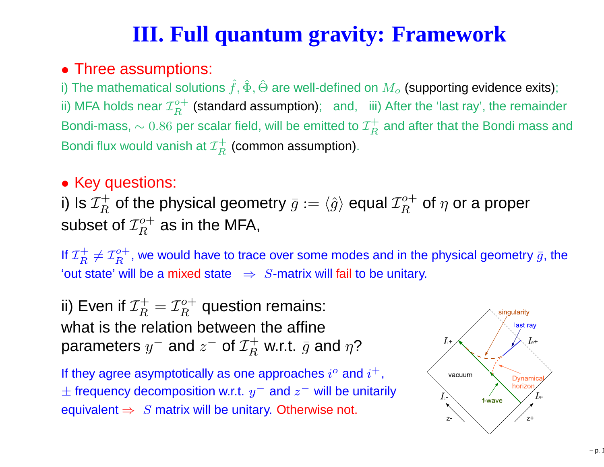# **III. Full quantum gravity: Framework**

### • Three assumptions:

i) The mathematical solutions  $\hat{f}, \hat{\Phi}, \hat{\Theta}$  are well-defined on  $M_o$  (supporting evidence exits); ii) MFA holds near  ${\cal I}_B^{o+}$  (standard assumption);  $\;$  and,  $\;$  i Bondi-mass,  $\sim 0.86$  per scalar field, will be emitted to  ${\cal I}^+_R$  $\frac{o+}{D}$  $\, R$  $\frac{C}{R}$  (standard assumption); and, iii) After the 'last ray', the remainder Bondi flux would vanish at  ${\cal I}^+_R$  (common assumption  $\, R$  $\mathop{R}\limits^{\mathop{\rightarrow}}$  and after that the Bondi mass and  $\, R \,$  $\mathop{R}\limits^{\leftarrow}$  (common assumption).

#### • Key questions:

i) Is  ${\cal I}_R^+$ subset of  ${\cal I}^o_R$  $\, R \,$  $\mathcal{T}_R^+$  of the physical geometry  $\bar{g}:=\langle \hat{g}\rangle$  equal  ${\mathcal{I}}_R^o$  $\frac{1}{D}$  $\, R$  $\frac{\partial^{\alpha+}}{\partial t}$  of  $\eta$  or a proper  $\frac{o+}{\sigma}$  R $\frac{a}{R}^{\alpha+}$  as in the MFA,

If  ${\cal I}_R^+$ 'out state' will be a mixed state  $\Rightarrow S$ -matrix will fail to be unitary.  $T_R^+\neq {\mathcal I}^o_R$  $\frac{o+}{\sigma}$  $\boldsymbol{R}$  $\mathcal{L}_R^{\sigma+}$ , we would have to trace over some modes and in the physical geometry  $\bar{g}$ , the

ii) Even if  ${\cal I}_R^+$  $T_R^+=\mathcal{I}_R^o$  what is the relation between the affine $\frac{o+1}{n}$  $\, R$  $\tilde{g}^{\rm o+}_R$  question remains: parameters  $y^-$  and  $z^-$  of  ${\cal I}^+_R$  w.r.t.  $\bar{g}$  a  $\, R \,$  $\overline{g}$  w.r.t.  $\overline{g}$  and  $\eta$ ?

If they agree asymptotically as one approaches  $i^o$  and  $i^+,$  $±$  frequency decomposition w.r.t.  $y^-$  and  $z^-$  will be unitarily equivalent  $\Rightarrow~S$  matrix will be unitary. Otherwise not.

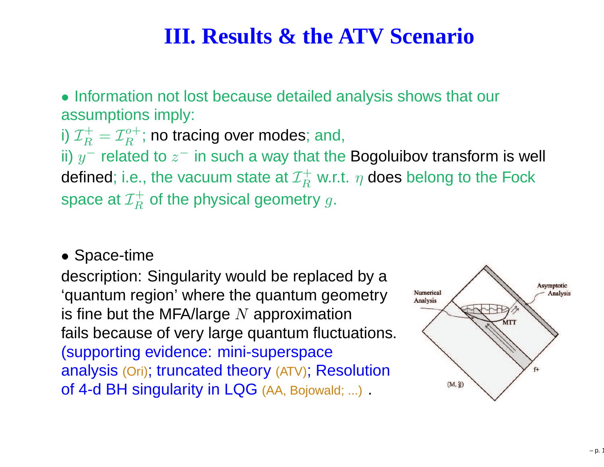### **III. Results & the ATV Scenario**

• Information not lost because detailed analysis shows that our assumptions imply:

i)  ${\cal I}_B^+$ ii)  $y^-$  related to  $z^-$  in such a way that the Bogoluibov transform is well  $T_R^+=\mathcal{I}_R^o$  $\frac{1}{D}$  $\, R$  $\frac{1}{R}^{\sigma+}$ ; no tracing over modes; and,<br>sted to = in quals a way that the defined; i.e., the vacuum state at  ${\cal I}_R^+$ space at  ${\cal I}^+_R$  of the physical geom  $\, R$  $\mathop{R}\limits^{\mathop{\leftarrow}}$  w.r.t.  $\eta$  does belong to the Fock  $\, R$  $\mathop{R}\limits^{\leftarrow}$  of the physical geometry  $g.$ 

• Space-time

 description: Singularity would be replaced by <sup>a</sup> 'quantum region' where the quantum geometryis fine but the MFA/large  $N$  approximation<br>foile because of very large quantum fluctu fails because of very large quantum fluctuations. (supporting evidence: mini-superspace analysis (Ori); truncated theory (ATV); Resolutionof 4-d BH singularity in LQG (AA, Bojowald; ...) .

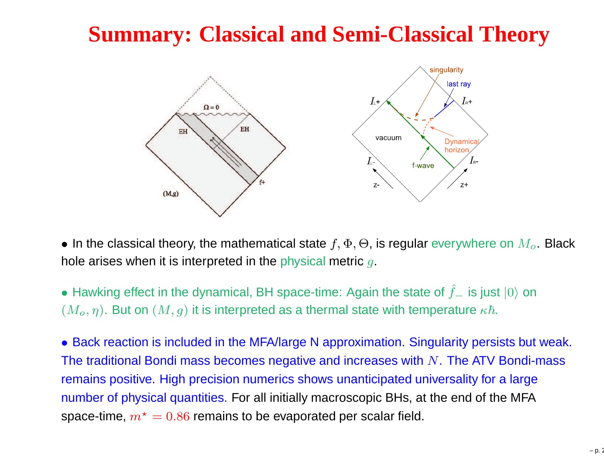## **Summary: Classical and Semi-Classical Theory**



 $\bullet$  In the classical theory, the mathematical state  $f, \Phi, \Theta$ , is regular everywhere on  $M_o.$  Black hole arises when it is interpreted in the physical metric  $g.$ 

• Hawking effect in the dynamical, BH space-time: Again the state of  $\hat{f}_-$  is just  $|0\rangle$  on  $(M_o, \eta).$  But on  $(M, g)$  it is interpreted as a thermal state with temperature  $\kappa \hbar.$ 

• Back reaction is included in the MFA/large <sup>N</sup> approximation. Singularity persists but weak. The traditional Bondi mass becomes negative and increases with  $N.$  The ATV Bondi-mass remains positive. High precision numerics shows unanticipated universality for <sup>a</sup> largenumber of physical quantities. For all initially macroscopic BHs, at the end of the MFAspace-time,  $m^{\star}=0.86$  remains to be evaporated per scalar field.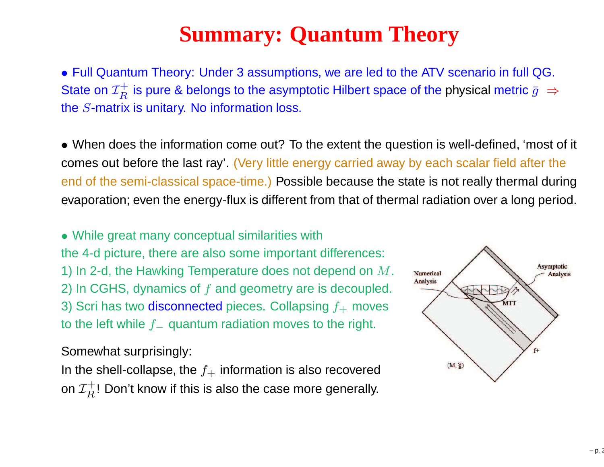# **Summary: Quantum Theory**

• Full Quantum Theory: Under <sup>3</sup> assumptions, we are led to the ATV scenario in full QG. State on  ${\cal I}_B^+$ the  $S$ -matrix is unitary. No information loss.  $\boldsymbol{R}$  $\overline{R}^+$  is pure & belongs to the asymptotic Hilbert space of the physical metric  $\bar{g} \; \Rightarrow$ 

• When does the information come out? To the extent the question is well-defined, 'most of it comes out before the last ray'. (Very little energy carried away by each scalar field after theend of the semi-classical space-time.) Possible because the state is not really thermal duringevaporation; even the energy-flux is different from that of thermal radiation over <sup>a</sup> long period.

• While great many conceptual similarities withthe 4-d picture, there are also some important differences: 1) In 2-d, the Hawking Temperature does not depend on  $M.$ 2) In CGHS, dynamics of  $f$  and geometry are is decoupled. 3) Scri has two disconnected pieces. Collapsing  $f_+$  moves to the left while  $f_-\,$  $\mathcal{L}_{-}$  quantum radiation moves to the right.

Somewhat surprisingly:

In the shell-collapse, the  $f_+$  information is also recovered on  ${\cal I}^+_P$ ! Don't know if th  $\,$  $\mathcal{F}_R^+!$  Don't know if this is also the case more generally.